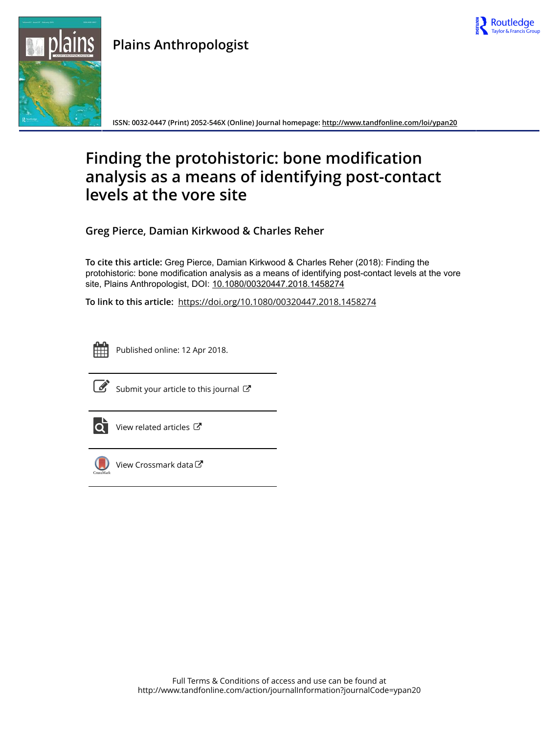

## **Plains Anthropologist**



**ISSN: 0032-0447 (Print) 2052-546X (Online) Journal homepage: <http://www.tandfonline.com/loi/ypan20>**

# **Finding the protohistoric: bone modification analysis as a means of identifying post-contact levels at the vore site**

**Greg Pierce, Damian Kirkwood & Charles Reher**

**To cite this article:** Greg Pierce, Damian Kirkwood & Charles Reher (2018): Finding the protohistoric: bone modification analysis as a means of identifying post-contact levels at the vore site, Plains Anthropologist, DOI: [10.1080/00320447.2018.1458274](http://www.tandfonline.com/action/showCitFormats?doi=10.1080/00320447.2018.1458274)

**To link to this article:** <https://doi.org/10.1080/00320447.2018.1458274>



Published online: 12 Apr 2018.



 $\overrightarrow{S}$  [Submit your article to this journal](http://www.tandfonline.com/action/authorSubmission?journalCode=ypan20&show=instructions)  $\overrightarrow{S}$ 



 $\overrightarrow{Q}$  [View related articles](http://www.tandfonline.com/doi/mlt/10.1080/00320447.2018.1458274)  $\overrightarrow{C}$ 



 $\bigcirc$  [View Crossmark data](http://crossmark.crossref.org/dialog/?doi=10.1080/00320447.2018.1458274&domain=pdf&date_stamp=2018-04-12) $\mathbb{Z}$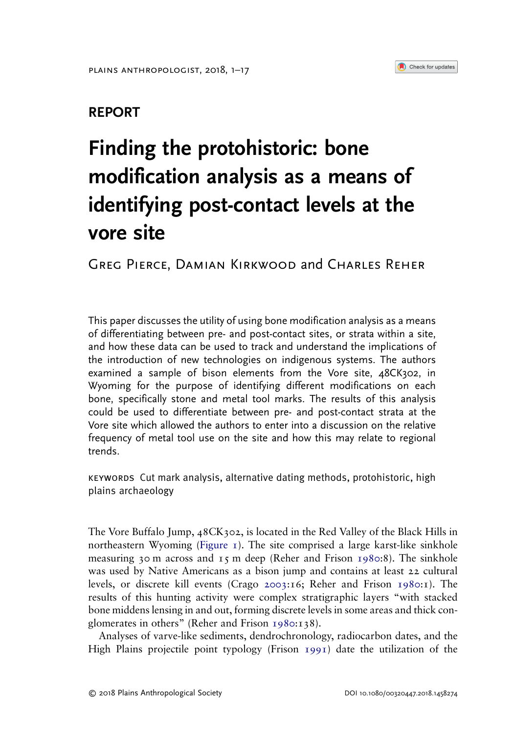## <span id="page-1-0"></span>REPORT

# Finding the protohistoric: bone modification analysis as a means of identifying post-contact levels at the vore site

Greg Pierce, Damian Kirkwood and Charles Reher

This paper discusses the utility of using bone modification analysis as a means of differentiating between pre- and post-contact sites, or strata within a site, and how these data can be used to track and understand the implications of the introduction of new technologies on indigenous systems. The authors examined a sample of bison elements from the Vore site, 48CK302, in Wyoming for the purpose of identifying different modifications on each bone, specifically stone and metal tool marks. The results of this analysis could be used to differentiate between pre- and post-contact strata at the Vore site which allowed the authors to enter into a discussion on the relative frequency of metal tool use on the site and how this may relate to regional trends.

keywords Cut mark analysis, alternative dating methods, protohistoric, high plains archaeology

The Vore Buffalo Jump,  $48CK_3o2$ , is located in the Red Valley of the Black Hills in northeastern Wyoming (Figure  $_1$ ). The site comprised a large karst-like sinkhole measuring 30 m across and  $15 \text{ m}$  deep (Reher and Frison [1980](#page-16-0):8). The sinkhole was used by Native Americans as a bison jump and contains at least 22 cultural levels, or discrete kill events (Crago [2003](#page-15-0):16; Reher and Frison [1980:](#page-16-0)1). The results of this hunting activity were complex stratigraphic layers "with stacked bone middens lensing in and out, forming discrete levels in some areas and thick conglomerates in others" (Reher and Frison [1980:](#page-16-0)138).

Analyses of varve-like sediments, dendrochronology, radiocarbon dates, and the High Plains projectile point typology (Frison [1991\)](#page-15-0) date the utilization of the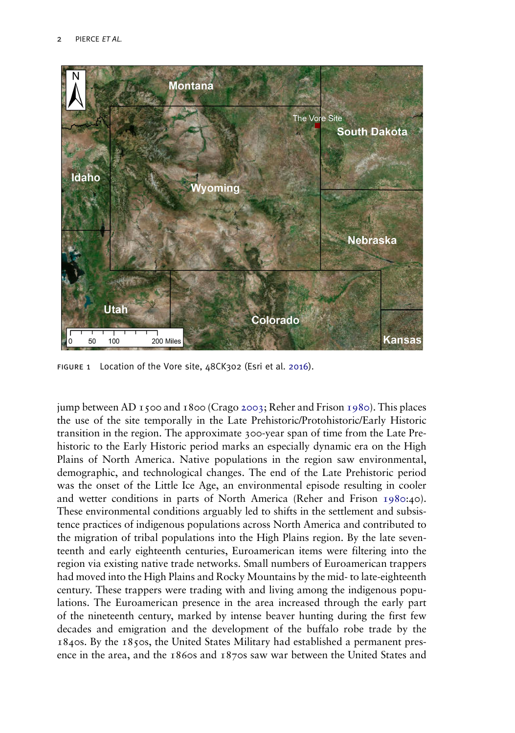<span id="page-2-0"></span>

FIGURE 1 Location of the Vore site, 48CK302 (Esri et al. [2016](#page-15-0)).

jump between AD 1500 and 1800 (Crago [2003;](#page-15-0) Reher and Frison [1980](#page-16-0)). This places the use of the site temporally in the Late Prehistoric/Protohistoric/Early Historic transition in the region. The approximate 300-year span of time from the Late Prehistoric to the Early Historic period marks an especially dynamic era on the High Plains of North America. Native populations in the region saw environmental, demographic, and technological changes. The end of the Late Prehistoric period was the onset of the Little Ice Age, an environmental episode resulting in cooler and wetter conditions in parts of North America (Reher and Frison [1980:](#page-16-0)40). These environmental conditions arguably led to shifts in the settlement and subsistence practices of indigenous populations across North America and contributed to the migration of tribal populations into the High Plains region. By the late seventeenth and early eighteenth centuries, Euroamerican items were filtering into the region via existing native trade networks. Small numbers of Euroamerican trappers had moved into the High Plains and Rocky Mountains by the mid- to late-eighteenth century. These trappers were trading with and living among the indigenous populations. The Euroamerican presence in the area increased through the early part of the nineteenth century, marked by intense beaver hunting during the first few decades and emigration and the development of the buffalo robe trade by the 1840s. By the 1850s, the United States Military had established a permanent presence in the area, and the 1860s and 1870s saw war between the United States and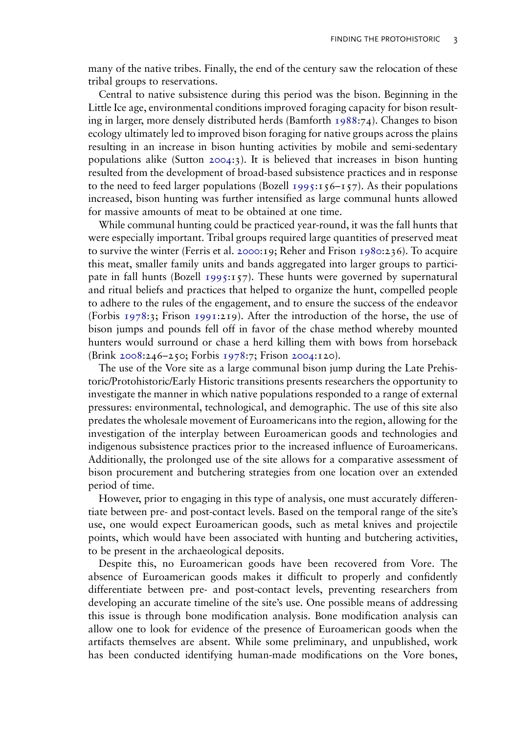<span id="page-3-0"></span>many of the native tribes. Finally, the end of the century saw the relocation of these tribal groups to reservations.

Central to native subsistence during this period was the bison. Beginning in the Little Ice age, environmental conditions improved foraging capacity for bison resulting in larger, more densely distributed herds (Bamforth [1988](#page-14-0):74). Changes to bison ecology ultimately led to improved bison foraging for native groups across the plains resulting in an increase in bison hunting activities by mobile and semi-sedentary populations alike (Sutton [2004](#page-16-0):3). It is believed that increases in bison hunting resulted from the development of broad-based subsistence practices and in response to the need to feed larger populations (Bozell [1995:](#page-15-0)156–157). As their populations increased, bison hunting was further intensified as large communal hunts allowed for massive amounts of meat to be obtained at one time.

While communal hunting could be practiced year-round, it was the fall hunts that were especially important. Tribal groups required large quantities of preserved meat to survive the winter (Ferris et al. [2000](#page-15-0):19; Reher and Frison [1980:](#page-16-0)236). To acquire this meat, smaller family units and bands aggregated into larger groups to partici-pate in fall hunts (Bozell [1995](#page-15-0):157). These hunts were governed by supernatural and ritual beliefs and practices that helped to organize the hunt, compelled people to adhere to the rules of the engagement, and to ensure the success of the endeavor (Forbis [1978:](#page-15-0)3; Frison [1991](#page-15-0):219). After the introduction of the horse, the use of bison jumps and pounds fell off in favor of the chase method whereby mounted hunters would surround or chase a herd killing them with bows from horseback (Brink [2008:](#page-15-0)246–250; Forbis [1978](#page-15-0):7; Frison [2004](#page-15-0):120).

The use of the Vore site as a large communal bison jump during the Late Prehistoric/Protohistoric/Early Historic transitions presents researchers the opportunity to investigate the manner in which native populations responded to a range of external pressures: environmental, technological, and demographic. The use of this site also predates the wholesale movement of Euroamericans into the region, allowing for the investigation of the interplay between Euroamerican goods and technologies and indigenous subsistence practices prior to the increased influence of Euroamericans. Additionally, the prolonged use of the site allows for a comparative assessment of bison procurement and butchering strategies from one location over an extended period of time.

However, prior to engaging in this type of analysis, one must accurately differentiate between pre- and post-contact levels. Based on the temporal range of the site's use, one would expect Euroamerican goods, such as metal knives and projectile points, which would have been associated with hunting and butchering activities, to be present in the archaeological deposits.

Despite this, no Euroamerican goods have been recovered from Vore. The absence of Euroamerican goods makes it difficult to properly and confidently differentiate between pre- and post-contact levels, preventing researchers from developing an accurate timeline of the site's use. One possible means of addressing this issue is through bone modification analysis. Bone modification analysis can allow one to look for evidence of the presence of Euroamerican goods when the artifacts themselves are absent. While some preliminary, and unpublished, work has been conducted identifying human-made modifications on the Vore bones,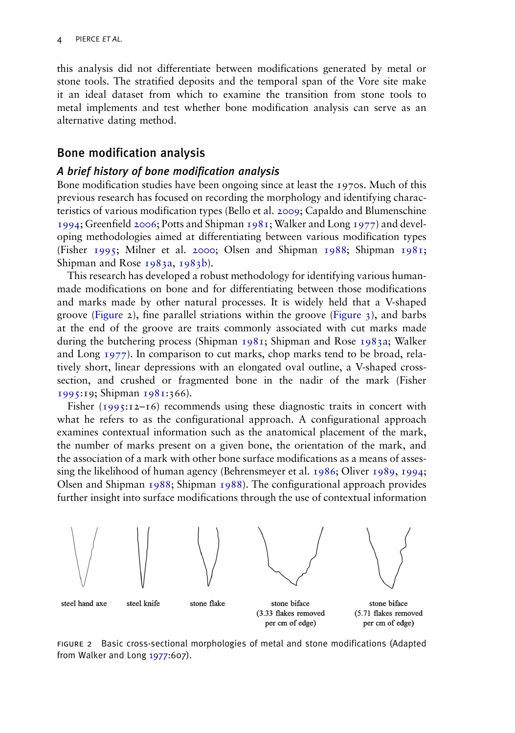<span id="page-4-0"></span>this analysis did not differentiate between modifications generated by metal or stone tools. The stratified deposits and the temporal span of the Vore site make it an ideal dataset from which to examine the transition from stone tools to metal implements and test whether bone modification analysis can serve as an alternative dating method.

#### Bone modification analysis

#### A brief history of bone modification analysis

Bone modification studies have been ongoing since at least the 1970s. Much of this previous research has focused on recording the morphology and identifying characteristics of various modification types (Bello et al. [2009](#page-14-0); Capaldo and Blumenschine [1994;](#page-15-0) Greenfield [2006](#page-15-0); Potts and Shipman [1981](#page-16-0); Walker and Long [1977](#page-16-0)) and developing methodologies aimed at differentiating between various modification types (Fisher [1995;](#page-15-0) Milner et al. [2000](#page-16-0); Olsen and Shipman [1988](#page-16-0); Shipman [1981;](#page-16-0) Shipman and Rose [1983a](#page-16-0), [1983b\)](#page-16-0).

This research has developed a robust methodology for identifying various humanmade modifications on bone and for differentiating between those modifications and marks made by other natural processes. It is widely held that a V-shaped groove (Figure 2), fine parallel striations within the groove [\(Figure 3](#page-5-0)), and barbs at the end of the groove are traits commonly associated with cut marks made during the butchering process (Shipman [1981](#page-16-0); Shipman and Rose [1983a;](#page-16-0) Walker and Long [1977](#page-16-0)). In comparison to cut marks, chop marks tend to be broad, relatively short, linear depressions with an elongated oval outline, a V-shaped crosssection, and crushed or fragmented bone in the nadir of the mark (Fisher [1995:](#page-15-0)19; Shipman [1981:](#page-16-0)366).

Fisher  $(1995:12-16)$  $(1995:12-16)$  $(1995:12-16)$  recommends using these diagnostic traits in concert with what he refers to as the configurational approach. A configurational approach examines contextual information such as the anatomical placement of the mark, the number of marks present on a given bone, the orientation of the mark, and the association of a mark with other bone surface modifications as a means of assessing the likelihood of human agency (Behrensmeyer et al. [1986;](#page-14-0) Oliver [1989,](#page-16-0) [1994;](#page-16-0) Olsen and Shipman [1988;](#page-16-0) Shipman [1988](#page-16-0)). The configurational approach provides further insight into surface modifications through the use of contextual information



figure 2 Basic cross-sectional morphologies of metal and stone modifications (Adapted from Walker and Long [1977:](#page-16-0)607).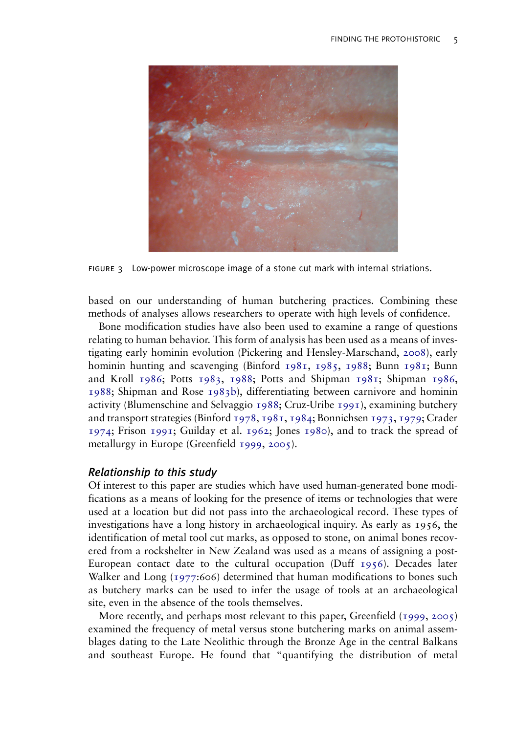<span id="page-5-0"></span>

figure 3 Low-power microscope image of a stone cut mark with internal striations.

based on our understanding of human butchering practices. Combining these methods of analyses allows researchers to operate with high levels of confidence.

Bone modification studies have also been used to examine a range of questions relating to human behavior. This form of analysis has been used as a means of investigating early hominin evolution (Pickering and Hensley-Marschand, [2008](#page-16-0)), early hominin hunting and scavenging (Binford [1981,](#page-14-0) [1985,](#page-14-0) [1988](#page-14-0); Bunn [1981;](#page-15-0) Bunn and Kroll [1986](#page-15-0); Potts [1983](#page-16-0), [1988](#page-16-0); Potts and Shipman [1981;](#page-16-0) Shipman [1986,](#page-16-0) [1988;](#page-16-0) Shipman and Rose [1983b](#page-16-0)), differentiating between carnivore and hominin activity (Blumenschine and Selvaggio [1988](#page-14-0); Cruz-Uribe [1991](#page-15-0)), examining butchery and transport strategies (Binford [1978,](#page-14-0) [1981](#page-14-0), [1984](#page-14-0); Bonnichsen [1973](#page-15-0), [1979](#page-15-0); Crader [1974;](#page-15-0) Frison [1991;](#page-15-0) Guilday et al. [1962;](#page-16-0) Jones [1980](#page-16-0)), and to track the spread of metallurgy in Europe (Greenfield [1999](#page-15-0), [2005\)](#page-15-0).

#### Relationship to this study

Of interest to this paper are studies which have used human-generated bone modifications as a means of looking for the presence of items or technologies that were used at a location but did not pass into the archaeological record. These types of investigations have a long history in archaeological inquiry. As early as 1956, the identification of metal tool cut marks, as opposed to stone, on animal bones recovered from a rockshelter in New Zealand was used as a means of assigning a post-European contact date to the cultural occupation (Duff [1956](#page-15-0)). Decades later Walker and Long [\(1977](#page-16-0):606) determined that human modifications to bones such as butchery marks can be used to infer the usage of tools at an archaeological site, even in the absence of the tools themselves.

More recently, and perhaps most relevant to this paper, Greenfield ([1999,](#page-15-0) [2005](#page-15-0)) examined the frequency of metal versus stone butchering marks on animal assemblages dating to the Late Neolithic through the Bronze Age in the central Balkans and southeast Europe. He found that "quantifying the distribution of metal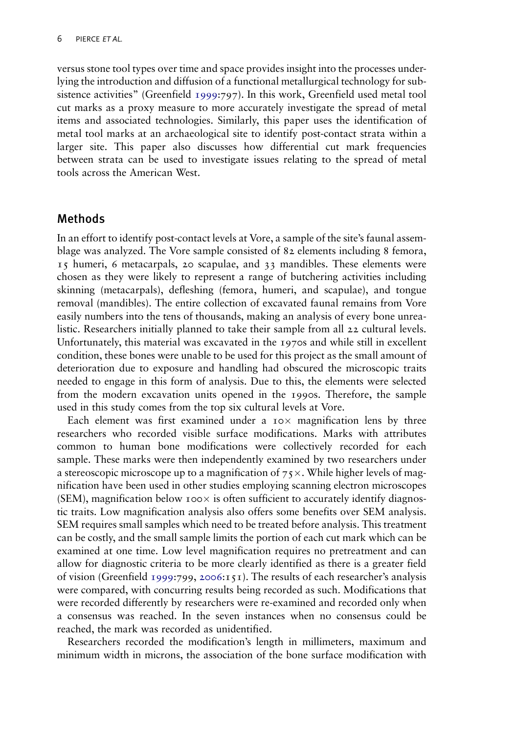versus stone tool types over time and space provides insight into the processes underlying the introduction and diffusion of a functional metallurgical technology for subsistence activities" (Greenfield [1999:](#page-15-0)797). In this work, Greenfield used metal tool cut marks as a proxy measure to more accurately investigate the spread of metal items and associated technologies. Similarly, this paper uses the identification of metal tool marks at an archaeological site to identify post-contact strata within a larger site. This paper also discusses how differential cut mark frequencies between strata can be used to investigate issues relating to the spread of metal tools across the American West.

#### Methods

In an effort to identify post-contact levels at Vore, a sample of the site's faunal assemblage was analyzed. The Vore sample consisted of 82 elements including 8 femora, 15 humeri, 6 metacarpals, 20 scapulae, and 33 mandibles. These elements were chosen as they were likely to represent a range of butchering activities including skinning (metacarpals), defleshing (femora, humeri, and scapulae), and tongue removal (mandibles). The entire collection of excavated faunal remains from Vore easily numbers into the tens of thousands, making an analysis of every bone unrealistic. Researchers initially planned to take their sample from all 22 cultural levels. Unfortunately, this material was excavated in the 1970s and while still in excellent condition, these bones were unable to be used for this project as the small amount of deterioration due to exposure and handling had obscured the microscopic traits needed to engage in this form of analysis. Due to this, the elements were selected from the modern excavation units opened in the 1990s. Therefore, the sample used in this study comes from the top six cultural levels at Vore.

Each element was first examined under a  $10 \times$  magnification lens by three researchers who recorded visible surface modifications. Marks with attributes common to human bone modifications were collectively recorded for each sample. These marks were then independently examined by two researchers under a stereoscopic microscope up to a magnification of  $75\times$ . While higher levels of magnification have been used in other studies employing scanning electron microscopes  $(SEM)$ , magnification below 100 $\times$  is often sufficient to accurately identify diagnostic traits. Low magnification analysis also offers some benefits over SEM analysis. SEM requires small samples which need to be treated before analysis. This treatment can be costly, and the small sample limits the portion of each cut mark which can be examined at one time. Low level magnification requires no pretreatment and can allow for diagnostic criteria to be more clearly identified as there is a greater field of vision (Greenfield [1999](#page-15-0):799, [2006:](#page-15-0)151). The results of each researcher's analysis were compared, with concurring results being recorded as such. Modifications that were recorded differently by researchers were re-examined and recorded only when a consensus was reached. In the seven instances when no consensus could be reached, the mark was recorded as unidentified.

Researchers recorded the modification's length in millimeters, maximum and minimum width in microns, the association of the bone surface modification with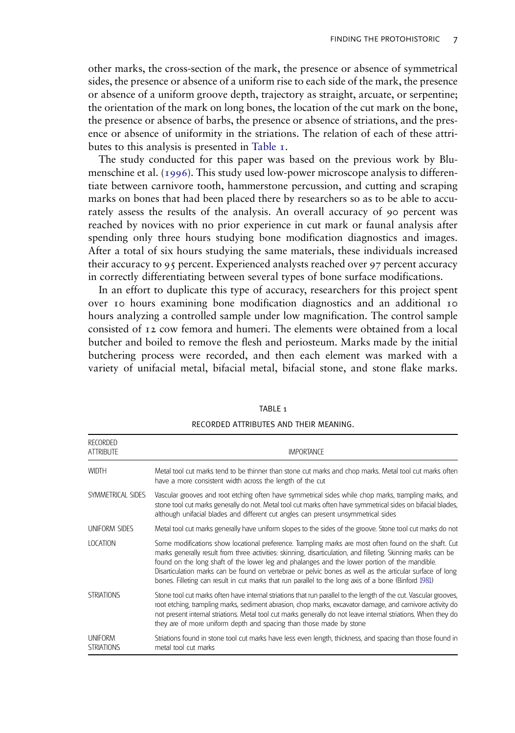<span id="page-7-0"></span>other marks, the cross-section of the mark, the presence or absence of symmetrical sides, the presence or absence of a uniform rise to each side of the mark, the presence or absence of a uniform groove depth, trajectory as straight, arcuate, or serpentine; the orientation of the mark on long bones, the location of the cut mark on the bone, the presence or absence of barbs, the presence or absence of striations, and the presence or absence of uniformity in the striations. The relation of each of these attributes to this analysis is presented in Table 1.

The study conducted for this paper was based on the previous work by Blumenschine et al. [\(1996\)](#page-14-0). This study used low-power microscope analysis to differentiate between carnivore tooth, hammerstone percussion, and cutting and scraping marks on bones that had been placed there by researchers so as to be able to accurately assess the results of the analysis. An overall accuracy of 90 percent was reached by novices with no prior experience in cut mark or faunal analysis after spending only three hours studying bone modification diagnostics and images. After a total of six hours studying the same materials, these individuals increased their accuracy to 95 percent. Experienced analysts reached over 97 percent accuracy in correctly differentiating between several types of bone surface modifications.

In an effort to duplicate this type of accuracy, researchers for this project spent over 10 hours examining bone modification diagnostics and an additional 10 hours analyzing a controlled sample under low magnification. The control sample consisted of 12 cow femora and humeri. The elements were obtained from a local butcher and boiled to remove the flesh and periosteum. Marks made by the initial butchering process were recorded, and then each element was marked with a variety of unifacial metal, bifacial metal, bifacial stone, and stone flake marks.

| <b>RECORDED</b><br><b>ATTRIBUTE</b> | <b>IMPORTANCE</b>                                                                                                                                                                                                                                                                                                                                                                                                                                                                                                                           |  |  |  |  |  |  |
|-------------------------------------|---------------------------------------------------------------------------------------------------------------------------------------------------------------------------------------------------------------------------------------------------------------------------------------------------------------------------------------------------------------------------------------------------------------------------------------------------------------------------------------------------------------------------------------------|--|--|--|--|--|--|
| <b>WIDTH</b>                        | Metal tool cut marks tend to be thinner than stone cut marks and chop marks. Metal tool cut marks often<br>have a more consistent width across the length of the cut                                                                                                                                                                                                                                                                                                                                                                        |  |  |  |  |  |  |
| SYMMETRICAL SIDES                   | Vascular grooves and root etching often have symmetrical sides while chop marks, trampling marks, and<br>stone tool cut marks generally do not. Metal tool cut marks often have symmetrical sides on bifacial blades,<br>although unifacial blades and different cut angles can present unsymmetrical sides                                                                                                                                                                                                                                 |  |  |  |  |  |  |
| <b>UNIFORM SIDES</b>                | Metal tool cut marks generally have uniform slopes to the sides of the groove. Stone tool cut marks do not                                                                                                                                                                                                                                                                                                                                                                                                                                  |  |  |  |  |  |  |
| <b>LOCATION</b>                     | Some modifications show locational preference. Trampling marks are most often found on the shaft. Cut<br>marks generally result from three activities: skinning, disarticulation, and filleting. Skinning marks can be<br>found on the long shaft of the lower leg and phalanges and the lower portion of the mandible.<br>Disarticulation marks can be found on vertebrae or pelvic bones as well as the articular surface of long<br>bones. Filleting can result in cut marks that run parallel to the long axis of a bone (Binford 1981) |  |  |  |  |  |  |
| <b>STRIATIONS</b>                   | Stone tool cut marks often have internal striations that run parallel to the length of the cut. Vascular grooves,<br>root etching, trampling marks, sediment abrasion, chop marks, excavator damage, and carnivore activity do<br>not present internal striations. Metal tool cut marks generally do not leave internal striations. When they do<br>they are of more uniform depth and spacing than those made by stone                                                                                                                     |  |  |  |  |  |  |
| <b>UNIFORM</b><br><b>STRIATIONS</b> | Striations found in stone tool cut marks have less even length, thickness, and spacing than those found in<br>metal tool cut marks                                                                                                                                                                                                                                                                                                                                                                                                          |  |  |  |  |  |  |

TARIF<sub>1</sub> RECORDED ATTRIBUTES AND THEIR MEANING.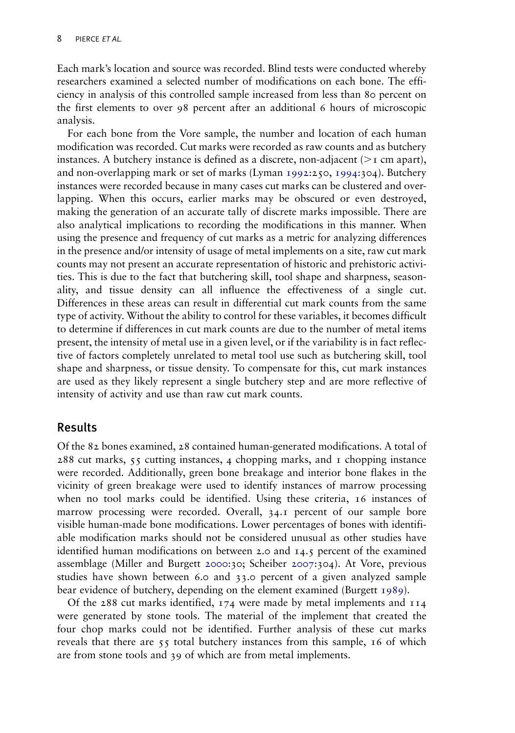<span id="page-8-0"></span>Each mark's location and source was recorded. Blind tests were conducted whereby researchers examined a selected number of modifications on each bone. The efficiency in analysis of this controlled sample increased from less than 80 percent on the first elements to over 98 percent after an additional 6 hours of microscopic analysis.

For each bone from the Vore sample, the number and location of each human modification was recorded. Cut marks were recorded as raw counts and as butchery instances. A butchery instance is defined as a discrete, non-adjacent ( $>$ I cm apart), and non-overlapping mark or set of marks (Lyman [1992:](#page-16-0)250, [1994:](#page-16-0)304). Butchery instances were recorded because in many cases cut marks can be clustered and overlapping. When this occurs, earlier marks may be obscured or even destroyed, making the generation of an accurate tally of discrete marks impossible. There are also analytical implications to recording the modifications in this manner. When using the presence and frequency of cut marks as a metric for analyzing differences in the presence and/or intensity of usage of metal implements on a site, raw cut mark counts may not present an accurate representation of historic and prehistoric activities. This is due to the fact that butchering skill, tool shape and sharpness, seasonality, and tissue density can all influence the effectiveness of a single cut. Differences in these areas can result in differential cut mark counts from the same type of activity. Without the ability to control for these variables, it becomes difficult to determine if differences in cut mark counts are due to the number of metal items present, the intensity of metal use in a given level, or if the variability is in fact reflective of factors completely unrelated to metal tool use such as butchering skill, tool shape and sharpness, or tissue density. To compensate for this, cut mark instances are used as they likely represent a single butchery step and are more reflective of intensity of activity and use than raw cut mark counts.

#### Results

Of the 82 bones examined, 28 contained human-generated modifications. A total of 288 cut marks, 55 cutting instances, 4 chopping marks, and 1 chopping instance were recorded. Additionally, green bone breakage and interior bone flakes in the vicinity of green breakage were used to identify instances of marrow processing when no tool marks could be identified. Using these criteria, 16 instances of marrow processing were recorded. Overall, 34.1 percent of our sample bore visible human-made bone modifications. Lower percentages of bones with identifiable modification marks should not be considered unusual as other studies have identified human modifications on between 2.0 and 14.5 percent of the examined assemblage (Miller and Burgett [2000](#page-16-0):30; Scheiber [2007](#page-16-0):304). At Vore, previous studies have shown between 6.0 and 33.0 percent of a given analyzed sample bear evidence of butchery, depending on the element examined (Burgett [1989\)](#page-15-0).

Of the 288 cut marks identified, 174 were made by metal implements and 114 were generated by stone tools. The material of the implement that created the four chop marks could not be identified. Further analysis of these cut marks reveals that there are 55 total butchery instances from this sample, 16 of which are from stone tools and 39 of which are from metal implements.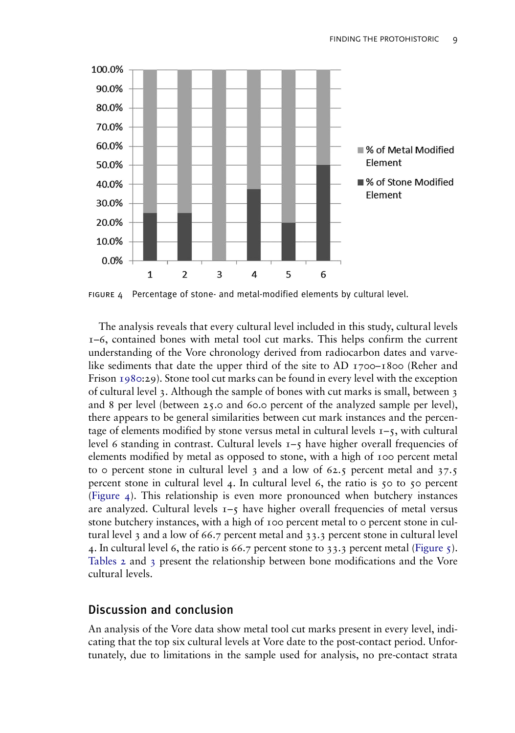

figure 4 Percentage of stone- and metal-modified elements by cultural level.

The analysis reveals that every cultural level included in this study, cultural levels 1–6, contained bones with metal tool cut marks. This helps confirm the current understanding of the Vore chronology derived from radiocarbon dates and varvelike sediments that date the upper third of the site to AD  $1700-1800$  (Reher and Frison [1980:](#page-16-0)29). Stone tool cut marks can be found in every level with the exception of cultural level 3. Although the sample of bones with cut marks is small, between 3 and 8 per level (between 25.0 and 60.0 percent of the analyzed sample per level), there appears to be general similarities between cut mark instances and the percentage of elements modified by stone versus metal in cultural levels 1–5, with cultural level 6 standing in contrast. Cultural levels  $I - 5$  have higher overall frequencies of elements modified by metal as opposed to stone, with a high of 100 percent metal to 0 percent stone in cultural level 3 and a low of 62.5 percent metal and  $37.5$ percent stone in cultural level 4. In cultural level 6, the ratio is  $\zeta$  to  $\zeta$  percent (Figure 4). This relationship is even more pronounced when butchery instances are analyzed. Cultural levels  $I$ - $\zeta$  have higher overall frequencies of metal versus stone butchery instances, with a high of 100 percent metal to 0 percent stone in cultural level  $\frac{3}{2}$  and a low of 66.7 percent metal and  $\frac{3}{2}$ , percent stone in cultural level 4. In cultural level 6, the ratio is 66.7 percent stone to 33.3 percent metal ([Figure 5\)](#page-10-0). [Tables 2](#page-10-0) and [3](#page-11-0) present the relationship between bone modifications and the Vore cultural levels.

#### Discussion and conclusion

An analysis of the Vore data show metal tool cut marks present in every level, indicating that the top six cultural levels at Vore date to the post-contact period. Unfortunately, due to limitations in the sample used for analysis, no pre-contact strata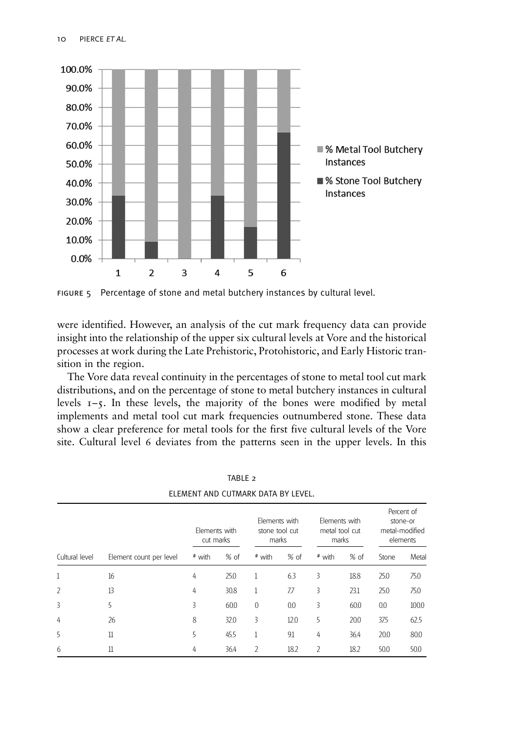<span id="page-10-0"></span>

figure 5 Percentage of stone and metal butchery instances by cultural level.

were identified. However, an analysis of the cut mark frequency data can provide insight into the relationship of the upper six cultural levels at Vore and the historical processes at work during the Late Prehistoric, Protohistoric, and Early Historic transition in the region.

The Vore data reveal continuity in the percentages of stone to metal tool cut mark distributions, and on the percentage of stone to metal butchery instances in cultural levels  $I$ -5. In these levels, the majority of the bones were modified by metal implements and metal tool cut mark frequencies outnumbered stone. These data show a clear preference for metal tools for the first five cultural levels of the Vore site. Cultural level 6 deviates from the patterns seen in the upper levels. In this

| IADLE 2                            |                         |                            |      |                                          |      |                                          |        |                                                      |       |
|------------------------------------|-------------------------|----------------------------|------|------------------------------------------|------|------------------------------------------|--------|------------------------------------------------------|-------|
| ELEMENT AND CUTMARK DATA BY LEVEL. |                         |                            |      |                                          |      |                                          |        |                                                      |       |
|                                    |                         | Elements with<br>cut marks |      | Elements with<br>stone tool cut<br>marks |      | Elements with<br>metal tool cut<br>marks |        | Percent of<br>stone-or<br>metal-modified<br>elements |       |
| Cultural level                     | Element count per level | # with                     | % of | # with                                   | % of | # with                                   | $%$ of | Stone                                                | Metal |
| 1                                  | 16                      | 4                          | 25.0 | 1                                        | 6.3  | 3                                        | 18.8   | 25.0                                                 | 75.0  |
| $\overline{2}$                     | 13                      | 4                          | 30.8 | 1                                        | 77   | 3                                        | 23.1   | 25.0                                                 | 75.0  |
| 3                                  | 5                       | 3                          | 60.0 | $\overline{0}$                           | 0.0  | 3                                        | 60.0   | 0.0                                                  | 100.0 |
| 4                                  | 26                      | 8                          | 32.0 | 3                                        | 12.0 | 5                                        | 20.0   | 37.5                                                 | 62.5  |
| 5                                  | 11                      | 5                          | 45.5 | 1                                        | 91   | 4                                        | 36.4   | 20.0                                                 | 80.0  |
| 6                                  | $11\,$                  | 4                          | 36.4 | 2                                        | 18.2 | 2                                        | 18.2   | 50.0                                                 | 50.0  |

 $TADLE$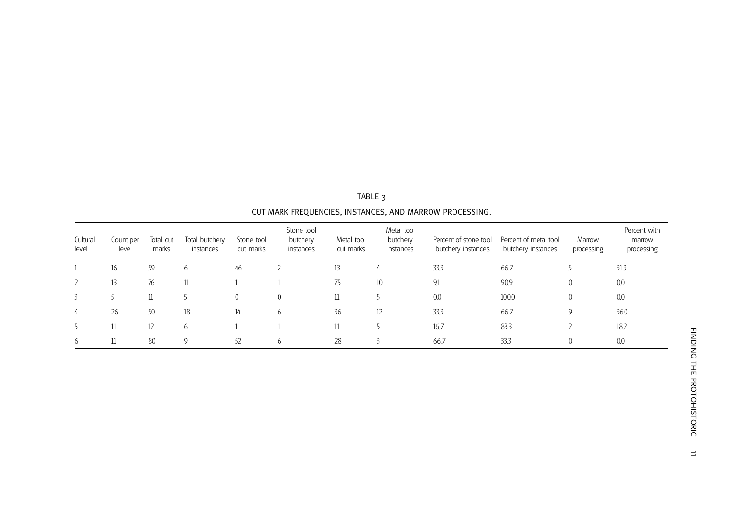<span id="page-11-0"></span>

| Cultural<br>level | Count per<br>level | Total cut<br>marks | Total butchery<br>instances | Stone tool<br>cut marks | Stone tool<br>butchery<br>instances | Metal tool<br>cut marks | Metal tool<br>butchery<br>instances | Percent of stone tool<br>butchery instances | Percent of metal tool<br>butchery instances | Marrow<br>processing | Percent with<br>marrow<br>processing |
|-------------------|--------------------|--------------------|-----------------------------|-------------------------|-------------------------------------|-------------------------|-------------------------------------|---------------------------------------------|---------------------------------------------|----------------------|--------------------------------------|
|                   | 16                 | 59                 | 6                           | 46                      |                                     | 13                      | 4                                   | 33.3                                        | 66.7                                        |                      | 31.3                                 |
|                   | 13                 | 76                 | 11                          |                         |                                     | 75                      | 10                                  | 9.1                                         | 90.9                                        | U                    | 0.0                                  |
| 3                 |                    | 11                 |                             | $\Omega$                | $\overline{0}$                      | $11\,$                  |                                     | 0.0                                         | 100.0                                       | U                    | 0.0                                  |
| 4                 | 26                 | 50                 | 18                          | 14                      | 6                                   | 36                      | 12                                  | 33.3                                        | 66.7                                        | 9                    | 36.0                                 |
|                   | 11                 | 12                 | 6                           |                         |                                     | $11\,$                  |                                     | 16.7                                        | 83.3                                        |                      | 18.2                                 |
| 6                 | 11                 | 80                 | 9                           | 52                      | b                                   | 28                      |                                     | 66.7                                        | 33.3                                        | $\Omega$             | 0.0                                  |

TABLE 3 CUT MARK FREQUENCIES, INSTANCES, AND MARROW PROCESSING.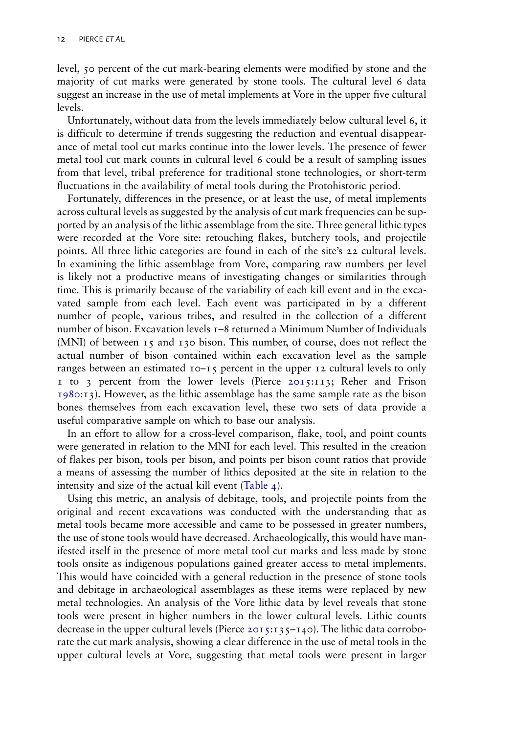<span id="page-12-0"></span>level, 50 percent of the cut mark-bearing elements were modified by stone and the majority of cut marks were generated by stone tools. The cultural level 6 data suggest an increase in the use of metal implements at Vore in the upper five cultural levels.

Unfortunately, without data from the levels immediately below cultural level 6, it is difficult to determine if trends suggesting the reduction and eventual disappearance of metal tool cut marks continue into the lower levels. The presence of fewer metal tool cut mark counts in cultural level 6 could be a result of sampling issues from that level, tribal preference for traditional stone technologies, or short-term fluctuations in the availability of metal tools during the Protohistoric period.

Fortunately, differences in the presence, or at least the use, of metal implements across cultural levels as suggested by the analysis of cut mark frequencies can be supported by an analysis of the lithic assemblage from the site. Three general lithic types were recorded at the Vore site: retouching flakes, butchery tools, and projectile points. All three lithic categories are found in each of the site's 22 cultural levels. In examining the lithic assemblage from Vore, comparing raw numbers per level is likely not a productive means of investigating changes or similarities through time. This is primarily because of the variability of each kill event and in the excavated sample from each level. Each event was participated in by a different number of people, various tribes, and resulted in the collection of a different number of bison. Excavation levels 1–8 returned a Minimum Number of Individuals (MNI) of between 15 and 130 bison. This number, of course, does not reflect the actual number of bison contained within each excavation level as the sample ranges between an estimated 10–15 percent in the upper 12 cultural levels to only 1 to 3 percent from the lower levels (Pierce [2015](#page-16-0):113; Reher and Frison [1980:](#page-16-0)13). However, as the lithic assemblage has the same sample rate as the bison bones themselves from each excavation level, these two sets of data provide a useful comparative sample on which to base our analysis.

In an effort to allow for a cross-level comparison, flake, tool, and point counts were generated in relation to the MNI for each level. This resulted in the creation of flakes per bison, tools per bison, and points per bison count ratios that provide a means of assessing the number of lithics deposited at the site in relation to the intensity and size of the actual kill event [\(Table 4](#page-13-0)).

Using this metric, an analysis of debitage, tools, and projectile points from the original and recent excavations was conducted with the understanding that as metal tools became more accessible and came to be possessed in greater numbers, the use of stone tools would have decreased. Archaeologically, this would have manifested itself in the presence of more metal tool cut marks and less made by stone tools onsite as indigenous populations gained greater access to metal implements. This would have coincided with a general reduction in the presence of stone tools and debitage in archaeological assemblages as these items were replaced by new metal technologies. An analysis of the Vore lithic data by level reveals that stone tools were present in higher numbers in the lower cultural levels. Lithic counts decrease in the upper cultural levels (Pierce [2015:](#page-16-0)135–140). The lithic data corroborate the cut mark analysis, showing a clear difference in the use of metal tools in the upper cultural levels at Vore, suggesting that metal tools were present in larger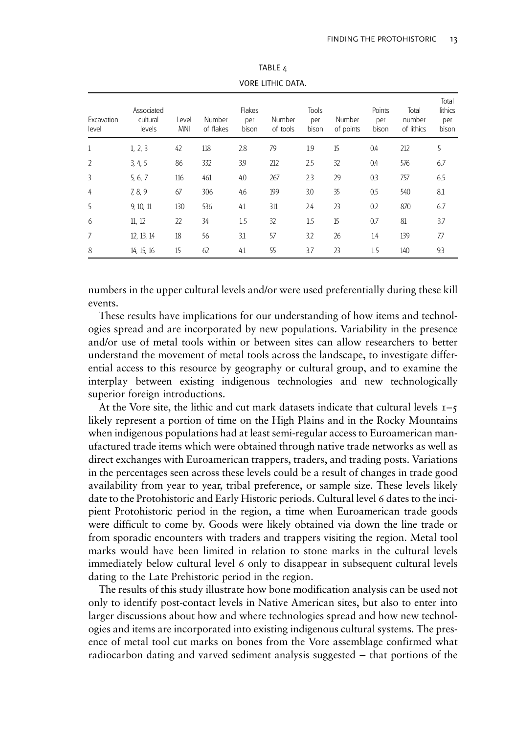<span id="page-13-0"></span>

| Excavation<br>level | Associated<br>cultural<br>levels | Level<br><b>MNI</b> | Number<br>of flakes | Flakes<br>per<br>bison | Number<br>of tools | Tools<br>per<br>bison | Number<br>of points | Points<br>per<br>bison | Total<br>number<br>of lithics | Total<br>lithics<br>per<br>bison |
|---------------------|----------------------------------|---------------------|---------------------|------------------------|--------------------|-----------------------|---------------------|------------------------|-------------------------------|----------------------------------|
| $\mathbf{1}$        | 1, 2, 3                          | 42                  | 118                 | 2.8                    | 79                 | 1.9                   | 15                  | 0.4                    | 212                           | 5                                |
| $\overline{2}$      | 3, 4, 5                          | 86                  | 332                 | 3.9                    | 212                | 2.5                   | 32                  | 0.4                    | 576                           | 6.7                              |
| $\overline{3}$      | 5, 6, 7                          | 116                 | 461                 | 4.0                    | 267                | 2.3                   | 29                  | 0.3                    | 757                           | 6.5                              |
| $\overline{4}$      | 7, 8, 9                          | 67                  | 306                 | 4.6                    | 199                | 3.0                   | 35                  | 0.5                    | 540                           | 8.1                              |
| 5                   | 9, 10, 11                        | 130                 | 536                 | 4.1                    | 311                | 2.4                   | 23                  | 0.2                    | 870                           | 6.7                              |
| 6                   | 11, 12                           | 22                  | 34                  | 1.5                    | 32                 | 1.5                   | 15                  | 0.7                    | 81                            | 3.7                              |
| $\overline{7}$      | 12, 13, 14                       | 18                  | 56                  | 3.1                    | 57                 | 3.2                   | 26                  | 1.4                    | 139                           | 77                               |
| 8                   | 14, 15, 16                       | 15                  | 62                  | 4.1                    | 55                 | 3.7                   | 23                  | 1.5                    | 140                           | 93                               |

TABLE 4 VORE LITHIC DATA.

numbers in the upper cultural levels and/or were used preferentially during these kill events.

These results have implications for our understanding of how items and technologies spread and are incorporated by new populations. Variability in the presence and/or use of metal tools within or between sites can allow researchers to better understand the movement of metal tools across the landscape, to investigate differential access to this resource by geography or cultural group, and to examine the interplay between existing indigenous technologies and new technologically superior foreign introductions.

At the Vore site, the lithic and cut mark datasets indicate that cultural levels  $1-\xi$ likely represent a portion of time on the High Plains and in the Rocky Mountains when indigenous populations had at least semi-regular access to Euroamerican manufactured trade items which were obtained through native trade networks as well as direct exchanges with Euroamerican trappers, traders, and trading posts. Variations in the percentages seen across these levels could be a result of changes in trade good availability from year to year, tribal preference, or sample size. These levels likely date to the Protohistoric and Early Historic periods. Cultural level 6 dates to the incipient Protohistoric period in the region, a time when Euroamerican trade goods were difficult to come by. Goods were likely obtained via down the line trade or from sporadic encounters with traders and trappers visiting the region. Metal tool marks would have been limited in relation to stone marks in the cultural levels immediately below cultural level 6 only to disappear in subsequent cultural levels dating to the Late Prehistoric period in the region.

The results of this study illustrate how bone modification analysis can be used not only to identify post-contact levels in Native American sites, but also to enter into larger discussions about how and where technologies spread and how new technologies and items are incorporated into existing indigenous cultural systems. The presence of metal tool cut marks on bones from the Vore assemblage confirmed what radiocarbon dating and varved sediment analysis suggested − that portions of the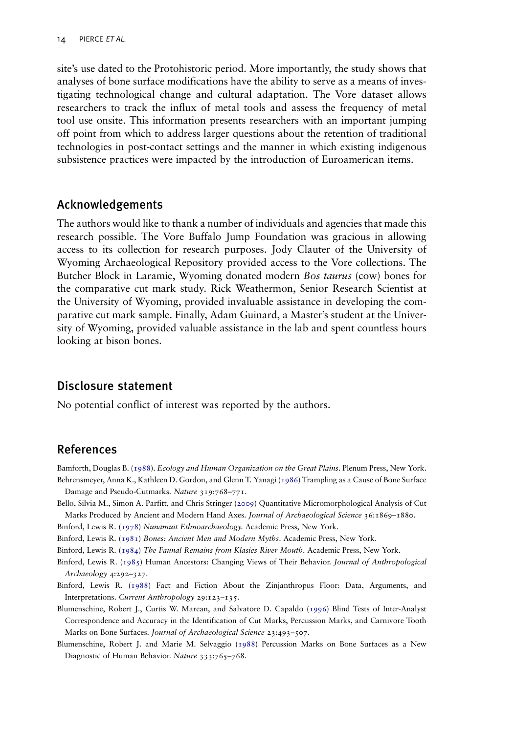<span id="page-14-0"></span>site's use dated to the Protohistoric period. More importantly, the study shows that analyses of bone surface modifications have the ability to serve as a means of investigating technological change and cultural adaptation. The Vore dataset allows researchers to track the influx of metal tools and assess the frequency of metal tool use onsite. This information presents researchers with an important jumping off point from which to address larger questions about the retention of traditional technologies in post-contact settings and the manner in which existing indigenous subsistence practices were impacted by the introduction of Euroamerican items.

#### Acknowledgements

The authors would like to thank a number of individuals and agencies that made this research possible. The Vore Buffalo Jump Foundation was gracious in allowing access to its collection for research purposes. Jody Clauter of the University of Wyoming Archaeological Repository provided access to the Vore collections. The Butcher Block in Laramie, Wyoming donated modern Bos taurus (cow) bones for the comparative cut mark study. Rick Weathermon, Senior Research Scientist at the University of Wyoming, provided invaluable assistance in developing the comparative cut mark sample. Finally, Adam Guinard, a Master's student at the University of Wyoming, provided valuable assistance in the lab and spent countless hours looking at bison bones.

#### Disclosure statement

No potential conflict of interest was reported by the authors.

#### References

Bamforth, Douglas B. ([1988](#page-3-0)). Ecology and Human Organization on the Great Plains. Plenum Press, New York. Behrensmeyer, Anna K., Kathleen D. Gordon, and Glenn T. Yanagi [\(1986\)](#page-4-0) Trampling as a Cause of Bone Surface Damage and Pseudo-Cutmarks. Nature 319:768–771.

Bello, Silvia M., Simon A. Parfitt, and Chris Stringer ([2009\)](#page-4-0) Quantitative Micromorphological Analysis of Cut Marks Produced by Ancient and Modern Hand Axes. Journal of Archaeological Science 36:1869–1880.

Binford, Lewis R. [\(1978\)](#page-5-0) Nunamuit Ethnoarchaeology. Academic Press, New York.

- Binford, Lewis R. [\(1981\)](#page-5-0) Bones: Ancient Men and Modern Myths. Academic Press, New York.
- Binford, Lewis R. [\(1984\)](#page-5-0) The Faunal Remains from Klasies River Mouth. Academic Press, New York.
- Binford, Lewis R. ([1985](#page-5-0)) Human Ancestors: Changing Views of Their Behavior. Journal of Anthropological Archaeology 4:292–327.
- Binford, Lewis R. [\(1988](#page-5-0)) Fact and Fiction About the Zinjanthropus Floor: Data, Arguments, and Interpretations. Current Anthropology 29:123–135.
- Blumenschine, Robert J., Curtis W. Marean, and Salvatore D. Capaldo [\(1996\)](#page-7-0) Blind Tests of Inter-Analyst Correspondence and Accuracy in the Identification of Cut Marks, Percussion Marks, and Carnivore Tooth Marks on Bone Surfaces. Journal of Archaeological Science 23:493–507.
- Blumenschine, Robert J. and Marie M. Selvaggio [\(1988\)](#page-5-0) Percussion Marks on Bone Surfaces as a New Diagnostic of Human Behavior. Nature 333:765–768.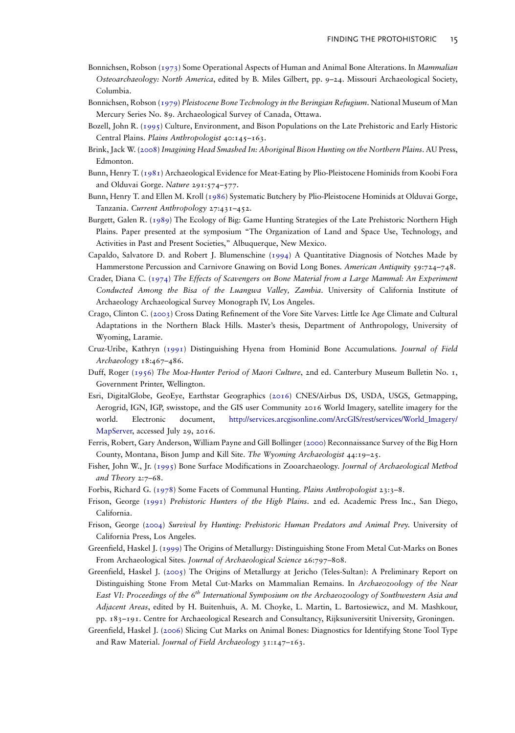- <span id="page-15-0"></span>Bonnichsen, Robson [\(1973\)](#page-5-0) Some Operational Aspects of Human and Animal Bone Alterations. In Mammalian Osteoarchaeology: North America, edited by B. Miles Gilbert, pp. 9–24. Missouri Archaeological Society, Columbia.
- Bonnichsen, Robson ([1979](#page-5-0)) Pleistocene Bone Technology in the Beringian Refugium. National Museum of Man Mercury Series No. 89. Archaeological Survey of Canada, Ottawa.
- Bozell, John R. ([1995\)](#page-3-0) Culture, Environment, and Bison Populations on the Late Prehistoric and Early Historic Central Plains. Plains Anthropologist 40:145–163.
- Brink, Jack W. [\(2008\)](#page-3-0) Imagining Head Smashed In: Aboriginal Bison Hunting on the Northern Plains. AU Press, Edmonton.
- Bunn, Henry T. [\(1981\)](#page-5-0) Archaeological Evidence for Meat-Eating by Plio-Pleistocene Hominids from Koobi Fora and Olduvai Gorge. Nature 291:574–577.
- Bunn, Henry T. and Ellen M. Kroll [\(1986\)](#page-5-0) Systematic Butchery by Plio-Pleistocene Hominids at Olduvai Gorge, Tanzania. Current Anthropology 27:431–452.
- Burgett, Galen R. ([1989](#page-8-0)) The Ecology of Big: Game Hunting Strategies of the Late Prehistoric Northern High Plains. Paper presented at the symposium "The Organization of Land and Space Use, Technology, and Activities in Past and Present Societies," Albuquerque, New Mexico.
- Capaldo, Salvatore D. and Robert J. Blumenschine [\(1994\)](#page-4-0) A Quantitative Diagnosis of Notches Made by Hammerstone Percussion and Carnivore Gnawing on Bovid Long Bones. American Antiquity 59:724-748.
- Crader, Diana C. ([1974](#page-5-0)) The Effects of Scavengers on Bone Material from a Large Mammal: An Experiment Conducted Among the Bisa of the Luangwa Valley, Zambia. University of California Institute of Archaeology Archaeological Survey Monograph IV, Los Angeles.
- Crago, Clinton C. ([2003](#page-1-0)) Cross Dating Refinement of the Vore Site Varves: Little Ice Age Climate and Cultural Adaptations in the Northern Black Hills. Master's thesis, Department of Anthropology, University of Wyoming, Laramie.
- Cruz-Uribe, Kathryn [\(1991](#page-5-0)) Distinguishing Hyena from Hominid Bone Accumulations. Journal of Field Archaeology 18:467–486.
- Duff, Roger ([1956](#page-5-0)) The Moa-Hunter Period of Maori Culture, 2nd ed. Canterbury Museum Bulletin No. 1, Government Printer, Wellington.
- Esri, DigitalGlobe, GeoEye, Earthstar Geographics ([2016](#page-2-0)) CNES/Airbus DS, USDA, USGS, Getmapping, Aerogrid, IGN, IGP, swisstope, and the GIS user Community 2016 World Imagery, satellite imagery for the world. Electronic document, [http://services.arcgisonline.com/ArcGIS/rest/services/World\\_Imagery/](http://services.arcgisonline.com/ArcGIS/rest/services/World_Imagery/MapServer) [MapServer,](http://services.arcgisonline.com/ArcGIS/rest/services/World_Imagery/MapServer) accessed July 29, 2016.
- Ferris, Robert, Gary Anderson, William Payne and Gill Bollinger [\(2000\)](#page-3-0) Reconnaissance Survey of the Big Horn County, Montana, Bison Jump and Kill Site. The Wyoming Archaeologist 44:19–25.
- Fisher, John W., Jr. ([1995\)](#page-4-0) Bone Surface Modifications in Zooarchaeology. Journal of Archaeological Method and Theory 2:7–68.
- Forbis, Richard G. [\(1978](#page-3-0)) Some Facets of Communal Hunting. Plains Anthropologist 23:3–8.
- Frison, George [\(1991\)](#page-1-0) Prehistoric Hunters of the High Plains. 2nd ed. Academic Press Inc., San Diego, California.
- Frison, George [\(2004\)](#page-3-0) Survival by Hunting: Prehistoric Human Predators and Animal Prey. University of California Press, Los Angeles.
- Greenfield, Haskel J. [\(1999\)](#page-5-0) The Origins of Metallurgy: Distinguishing Stone From Metal Cut-Marks on Bones From Archaeological Sites. Journal of Archaeological Science 26:797–808.
- Greenfield, Haskel J. [\(2005\)](#page-5-0) The Origins of Metallurgy at Jericho (Teles-Sultan): A Preliminary Report on Distinguishing Stone From Metal Cut-Marks on Mammalian Remains. In Archaeozoology of the Near East VI: Proceedings of the  $6<sup>th</sup>$  International Symposium on the Archaeozoology of Southwestern Asia and Adjacent Areas, edited by H. Buitenhuis, A. M. Choyke, L. Martin, L. Bartosiewicz, and M. Mashkour, pp. 183–191. Centre for Archaeological Research and Consultancy, Rijksuniversitit University, Groningen.
- Greenfield, Haskel J. [\(2006](#page-4-0)) Slicing Cut Marks on Animal Bones: Diagnostics for Identifying Stone Tool Type and Raw Material. Journal of Field Archaeology 31:147-163.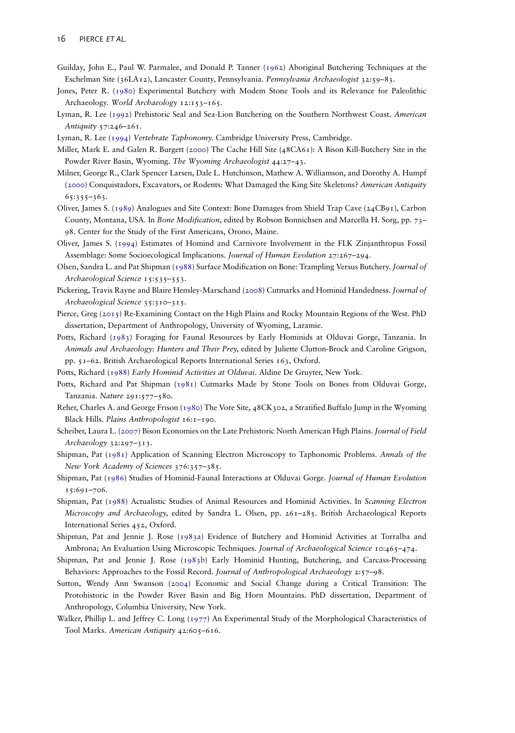- <span id="page-16-0"></span>Guilday, John E., Paul W. Parmalee, and Donald P. Tanner ([1962](#page-5-0)) Aboriginal Butchering Techniques at the Eschelman Site (36LA12), Lancaster County, Pennsylvania. Pennsylvania Archaeologist 32:59–83.
- Jones, Peter R. [\(1980](#page-5-0)) Experimental Butchery with Modem Stone Tools and its Relevance for Paleolithic Archaeology. World Archaeology 12:153–165.
- Lyman, R. Lee [\(1992\)](#page-8-0) Prehistoric Seal and Sea-Lion Butchering on the Southern Northwest Coast. American Antiquity 57:246–261.

Lyman, R. Lee [\(1994\)](#page-8-0) Vertebrate Taphonomy. Cambridge University Press, Cambridge.

- Miller, Mark E. and Galen R. Burgett ([2000\)](#page-8-0) The Cache Hill Site (48CA61): A Bison Kill-Butchery Site in the Powder River Basin, Wyoming. The Wyoming Archaeologist 44:27–43.
- Milner, George R., Clark Spencer Larsen, Dale L. Hutchinson, Mathew A. Williamson, and Dorothy A. Humpf ([2000](#page-4-0)) Conquistadors, Excavators, or Rodents: What Damaged the King Site Skeletons? American Antiquity 65:355–363.
- Oliver, James S. ([1989](#page-4-0)) Analogues and Site Context: Bone Damages from Shield Trap Cave (24CB91), Carbon County, Montana, USA. In Bone Modification, edited by Robson Bonnichsen and Marcella H. Sorg, pp. 73– 98. Center for the Study of the First Americans, Orono, Maine.
- Oliver, James S. ([1994](#page-4-0)) Estimates of Homind and Carnivore Involvement in the FLK Zinjanthropus Fossil Assemblage: Some Socioecological Implications. Journal of Human Evolution 27:267–294.
- Olsen, Sandra L. and Pat Shipman [\(1988](#page-4-0)) Surface Modification on Bone: Trampling Versus Butchery. Journal of Archaeological Science 15:535-553.
- Pickering, Travis Rayne and Blaire Hensley-Marschand ([2008](#page-5-0)) Cutmarks and Hominid Handedness. Journal of Archaeological Science 35:310–315.
- Pierce, Greg ([2015](#page-12-0)) Re-Examining Contact on the High Plains and Rocky Mountain Regions of the West. PhD dissertation, Department of Anthropology, University of Wyoming, Laramie.
- Potts, Richard ([1983](#page-5-0)) Foraging for Faunal Resources by Early Hominids at Olduvai Gorge, Tanzania. In Animals and Archaeology: Hunters and Their Prey, edited by Juliette Clutton-Brock and Caroline Grigson, pp. 51–62. British Archaeological Reports International Series 163, Oxford.
- Potts, Richard [\(1988\)](#page-5-0) Early Hominid Activities at Olduvai. Aldine De Gruyter, New York.
- Potts, Richard and Pat Shipman [\(1981\)](#page-4-0) Cutmarks Made by Stone Tools on Bones from Olduvai Gorge, Tanzania. Nature 291:577–580.
- Reher, Charles A. and George Frison ([1980\)](#page-1-0) The Vore Site, 48CK302, a Stratified Buffalo Jump in the Wyoming Black Hills. Plains Anthropologist 16:1-190.
- Scheiber, Laura L. ([2007](#page-8-0)) Bison Economies on the Late Prehistoric North American High Plains. Journal of Field Archaeology 32:297–313.
- Shipman, Pat [\(1981\)](#page-4-0) Application of Scanning Electron Microscopy to Taphonomic Problems. Annals of the New York Academy of Sciences 376:357–385.
- Shipman, Pat [\(1986\)](#page-5-0) Studies of Hominid-Faunal Interactions at Olduvai Gorge. Journal of Human Evolution 15:691–706.
- Shipman, Pat [\(1988](#page-4-0)) Actualistic Studies of Animal Resources and Hominid Activities. In Scanning Electron Microscopy and Archaeology, edited by Sandra L. Olsen, pp. 261-285. British Archaeological Reports International Series 452, Oxford.
- Shipman, Pat and Jennie J. Rose [\(1983a\)](#page-4-0) Evidence of Butchery and Hominid Activities at Torralba and Ambrona; An Evaluation Using Microscopic Techniques. Journal of Archaeological Science 10:465-474.
- Shipman, Pat and Jennie J. Rose ([1983b](#page-4-0)) Early Hominid Hunting, Butchering, and Carcass-Processing Behaviors: Approaches to the Fossil Record. Journal of Anthropological Archaeology 2:57-98.
- Sutton, Wendy Ann Swanson ([2004](#page-3-0)) Economic and Social Change during a Critical Transition: The Protohistoric in the Powder River Basin and Big Horn Mountains. PhD dissertation, Department of Anthropology, Columbia University, New York.
- Walker, Phillip L. and Jeffrey C. Long ([1977](#page-4-0)) An Experimental Study of the Morphological Characteristics of Tool Marks. American Antiquity 42:605–616.